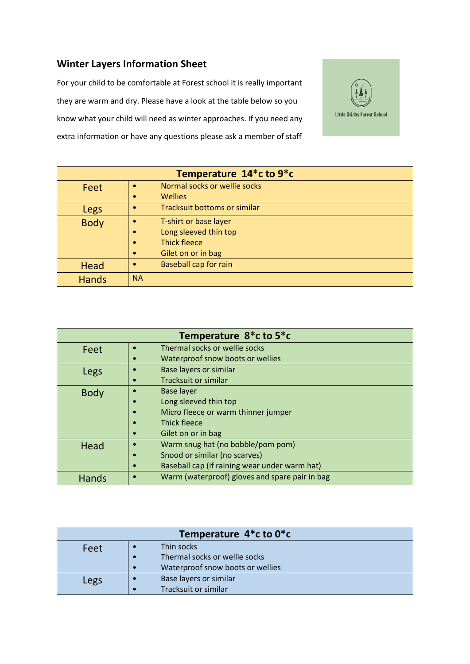## **Winter Layers Information Sheet**

For your child to be comfortable at Forest school it is really important they are warm and dry. Please have a look at the table below so you know what your child will need as winter approaches. If you need any extra information or have any questions please ask a member of staff



| Temperature 14 <sup>*</sup> c to 9 <sup>*</sup> c |                                           |  |
|---------------------------------------------------|-------------------------------------------|--|
| Feet                                              | Normal socks or wellie socks              |  |
|                                                   | <b>Wellies</b><br>$\bullet$               |  |
| Legs                                              | <b>Tracksuit bottoms or similar</b>       |  |
| <b>Body</b>                                       | T-shirt or base layer                     |  |
|                                                   | Long sleeved thin top<br>$\bullet$        |  |
|                                                   | <b>Thick fleece</b><br>$\bullet$          |  |
|                                                   | Gilet on or in bag<br>$\bullet$           |  |
| Head                                              | <b>Baseball cap for rain</b><br>$\bullet$ |  |
| <b>Hands</b>                                      | <b>NA</b>                                 |  |

| Temperature 8*c to 5*c |                                                            |  |
|------------------------|------------------------------------------------------------|--|
| Feet                   | Thermal socks or wellie socks                              |  |
|                        | Waterproof snow boots or wellies                           |  |
| Legs                   | <b>Base layers or similar</b>                              |  |
|                        | Tracksuit or similar                                       |  |
| <b>Body</b>            | <b>Base layer</b>                                          |  |
|                        | Long sleeved thin top                                      |  |
|                        | Micro fleece or warm thinner jumper                        |  |
|                        | Thick fleece                                               |  |
|                        | Gilet on or in bag                                         |  |
| Head                   | Warm snug hat (no bobble/pom pom)                          |  |
|                        | Snood or similar (no scarves)                              |  |
|                        | Baseball cap (if raining wear under warm hat)<br>$\bullet$ |  |
| <b>Hands</b>           | Warm (waterproof) gloves and spare pair in bag             |  |

| Temperature 4*c to 0*c |                                  |  |
|------------------------|----------------------------------|--|
| Feet                   | Thin socks                       |  |
|                        | Thermal socks or wellie socks    |  |
|                        | Waterproof snow boots or wellies |  |
| Legs                   | Base layers or similar           |  |
|                        | Tracksuit or similar             |  |